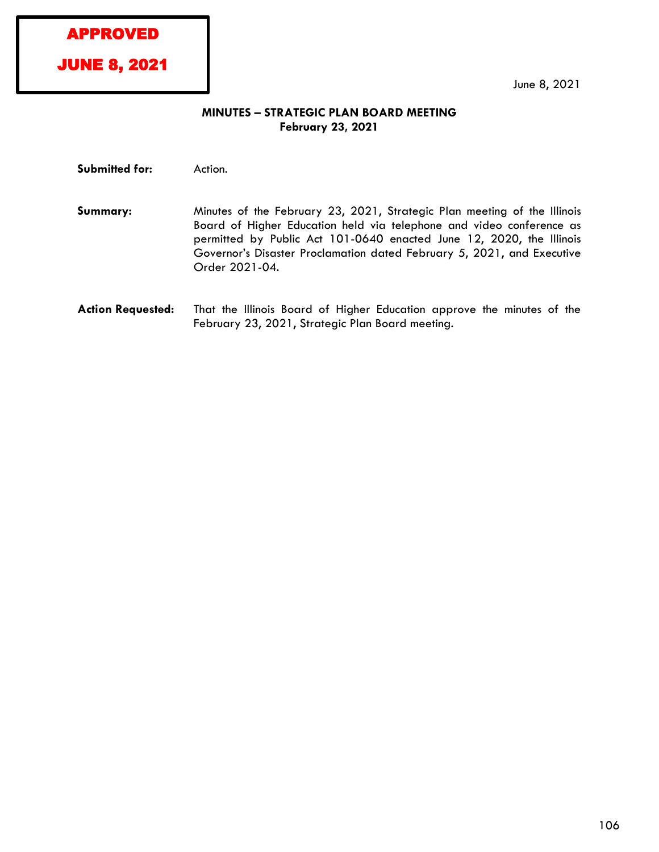APPROVED

JUNE 8, 2021

June 8, 2021

## **MINUTES – STRATEGIC PLAN BOARD MEETING February 23, 2021**

**Submitted for:** Action.

- **Summary:** Minutes of the February 23, 2021, Strategic Plan meeting of the Illinois Board of Higher Education held via telephone and video conference as permitted by Public Act 101-0640 enacted June 12, 2020, the Illinois Governor's Disaster Proclamation dated February 5, 2021, and Executive Order 2021-04.
- **Action Requested:** That the Illinois Board of Higher Education approve the minutes of the February 23, 2021, Strategic Plan Board meeting.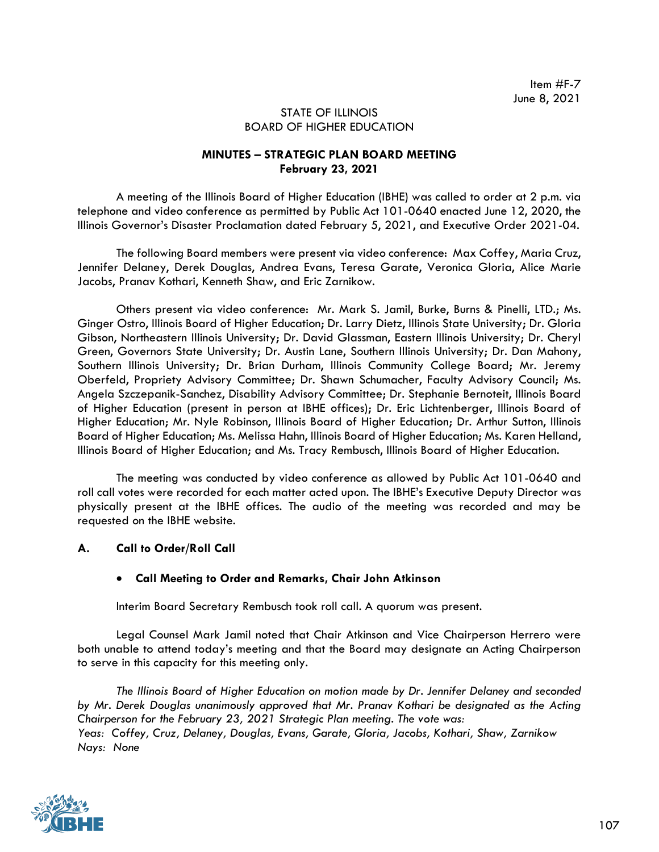## STATE OF ILLINOIS BOARD OF HIGHER EDUCATION

## **MINUTES – STRATEGIC PLAN BOARD MEETING February 23, 2021**

A meeting of the Illinois Board of Higher Education (IBHE) was called to order at 2 p.m. via telephone and video conference as permitted by Public Act 101-0640 enacted June 12, 2020, the Illinois Governor's Disaster Proclamation dated February 5, 2021, and Executive Order 2021-04.

The following Board members were present via video conference: Max Coffey, Maria Cruz, Jennifer Delaney, Derek Douglas, Andrea Evans, Teresa Garate, Veronica Gloria, Alice Marie Jacobs, Pranav Kothari, Kenneth Shaw, and Eric Zarnikow.

Others present via video conference: Mr. Mark S. Jamil, Burke, Burns & Pinelli, LTD.; Ms. Ginger Ostro, Illinois Board of Higher Education; Dr. Larry Dietz, Illinois State University; Dr. Gloria Gibson, Northeastern Illinois University; Dr. David Glassman, Eastern Illinois University; Dr. Cheryl Green, Governors State University; Dr. Austin Lane, Southern Illinois University; Dr. Dan Mahony, Southern Illinois University; Dr. Brian Durham, Illinois Community College Board; Mr. Jeremy Oberfeld, Propriety Advisory Committee; Dr. Shawn Schumacher, Faculty Advisory Council; Ms. Angela Szczepanik-Sanchez, Disability Advisory Committee; Dr. Stephanie Bernoteit, Illinois Board of Higher Education (present in person at IBHE offices); Dr. Eric Lichtenberger, Illinois Board of Higher Education; Mr. Nyle Robinson, Illinois Board of Higher Education; Dr. Arthur Sutton, Illinois Board of Higher Education; Ms. Melissa Hahn, Illinois Board of Higher Education; Ms. Karen Helland, Illinois Board of Higher Education; and Ms. Tracy Rembusch, Illinois Board of Higher Education.

The meeting was conducted by video conference as allowed by Public Act 101-0640 and roll call votes were recorded for each matter acted upon. The IBHE's Executive Deputy Director was physically present at the IBHE offices. The audio of the meeting was recorded and may be requested on the IBHE website.

## **A. Call to Order/Roll Call**

## • **Call Meeting to Order and Remarks, Chair John Atkinson**

Interim Board Secretary Rembusch took roll call. A quorum was present.

Legal Counsel Mark Jamil noted that Chair Atkinson and Vice Chairperson Herrero were both unable to attend today's meeting and that the Board may designate an Acting Chairperson to serve in this capacity for this meeting only.

*The Illinois Board of Higher Education on motion made by Dr. Jennifer Delaney and seconded by Mr. Derek Douglas unanimously approved that Mr. Pranav Kothari be designated as the Acting Chairperson for the February 23, 2021 Strategic Plan meeting. The vote was: Yeas: Coffey, Cruz, Delaney, Douglas, Evans, Garate, Gloria, Jacobs, Kothari, Shaw, Zarnikow Nays: None*

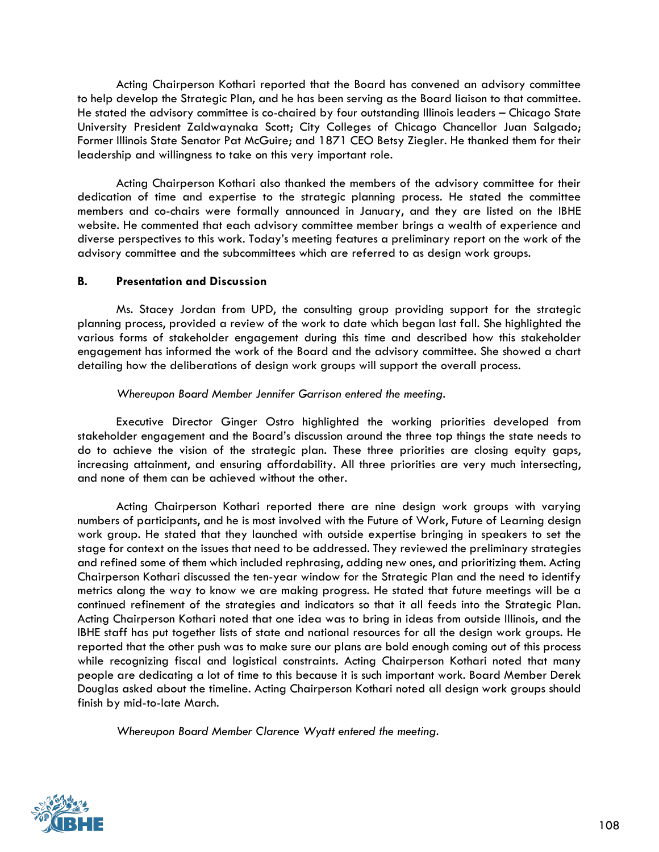Acting Chairperson Kothari reported that the Board has convened an advisory committee to help develop the Strategic Plan, and he has been serving as the Board liaison to that committee. He stated the advisory committee is co-chaired by four outstanding Illinois leaders – Chicago State University President Zaldwaynaka Scott; City Colleges of Chicago Chancellor Juan Salgado; Former Illinois State Senator Pat McGuire; and 1871 CEO Betsy Ziegler. He thanked them for their leadership and willingness to take on this very important role.

Acting Chairperson Kothari also thanked the members of the advisory committee for their dedication of time and expertise to the strategic planning process. He stated the committee members and co-chairs were formally announced in January, and they are listed on the IBHE website. He commented that each advisory committee member brings a wealth of experience and diverse perspectives to this work. Today's meeting features a preliminary report on the work of the advisory committee and the subcommittees which are referred to as design work groups.

#### **B. Presentation and Discussion**

Ms. Stacey Jordan from UPD, the consulting group providing support for the strategic planning process, provided a review of the work to date which began last fall. She highlighted the various forms of stakeholder engagement during this time and described how this stakeholder engagement has informed the work of the Board and the advisory committee. She showed a chart detailing how the deliberations of design work groups will support the overall process.

#### *Whereupon Board Member Jennifer Garrison entered the meeting*.

Executive Director Ginger Ostro highlighted the working priorities developed from stakeholder engagement and the Board's discussion around the three top things the state needs to do to achieve the vision of the strategic plan. These three priorities are closing equity gaps, increasing attainment, and ensuring affordability. All three priorities are very much intersecting, and none of them can be achieved without the other.

Acting Chairperson Kothari reported there are nine design work groups with varying numbers of participants, and he is most involved with the Future of Work, Future of Learning design work group. He stated that they launched with outside expertise bringing in speakers to set the stage for context on the issues that need to be addressed. They reviewed the preliminary strategies and refined some of them which included rephrasing, adding new ones, and prioritizing them. Acting Chairperson Kothari discussed the ten-year window for the Strategic Plan and the need to identify metrics along the way to know we are making progress. He stated that future meetings will be a continued refinement of the strategies and indicators so that it all feeds into the Strategic Plan. Acting Chairperson Kothari noted that one idea was to bring in ideas from outside Illinois, and the IBHE staff has put together lists of state and national resources for all the design work groups. He reported that the other push was to make sure our plans are bold enough coming out of this process while recognizing fiscal and logistical constraints. Acting Chairperson Kothari noted that many people are dedicating a lot of time to this because it is such important work. Board Member Derek Douglas asked about the timeline. Acting Chairperson Kothari noted all design work groups should finish by mid-to-late March.

*Whereupon Board Member Clarence Wyatt entered the meeting.*

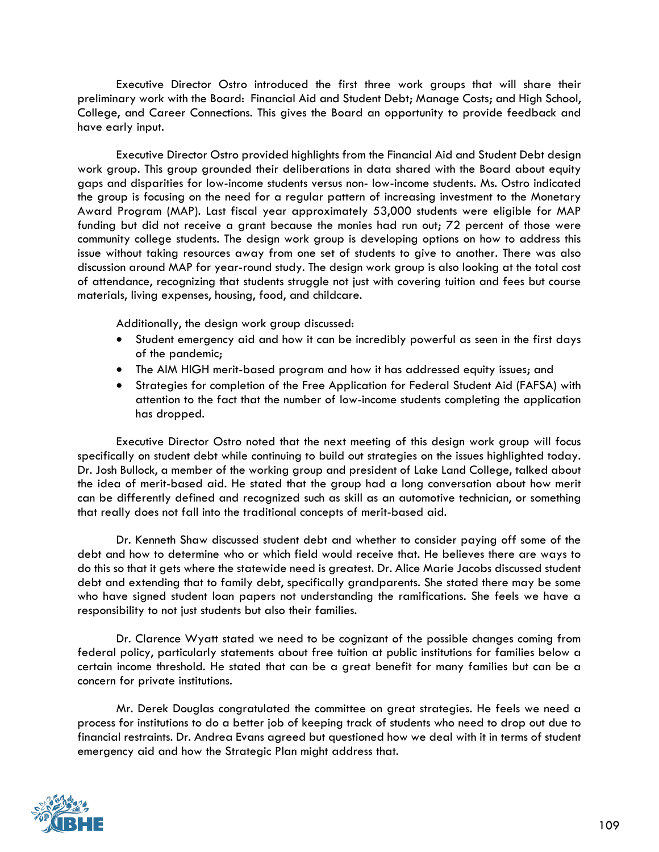Executive Director Ostro introduced the first three work groups that will share their preliminary work with the Board: Financial Aid and Student Debt; Manage Costs; and High School, College, and Career Connections. This gives the Board an opportunity to provide feedback and have early input.

Executive Director Ostro provided highlights from the Financial Aid and Student Debt design work group. This group grounded their deliberations in data shared with the Board about equity gaps and disparities for low-income students versus non- low-income students. Ms. Ostro indicated the group is focusing on the need for a regular pattern of increasing investment to the Monetary Award Program (MAP). Last fiscal year approximately 53,000 students were eligible for MAP funding but did not receive a grant because the monies had run out; 72 percent of those were community college students. The design work group is developing options on how to address this issue without taking resources away from one set of students to give to another. There was also discussion around MAP for year-round study. The design work group is also looking at the total cost of attendance, recognizing that students struggle not just with covering tuition and fees but course materials, living expenses, housing, food, and childcare.

Additionally, the design work group discussed:

- Student emergency aid and how it can be incredibly powerful as seen in the first days of the pandemic;
- The AIM HIGH merit-based program and how it has addressed equity issues; and
- Strategies for completion of the Free Application for Federal Student Aid (FAFSA) with attention to the fact that the number of low-income students completing the application has dropped.

Executive Director Ostro noted that the next meeting of this design work group will focus specifically on student debt while continuing to build out strategies on the issues highlighted today. Dr. Josh Bullock, a member of the working group and president of Lake Land College, talked about the idea of merit-based aid. He stated that the group had a long conversation about how merit can be differently defined and recognized such as skill as an automotive technician, or something that really does not fall into the traditional concepts of merit-based aid.

Dr. Kenneth Shaw discussed student debt and whether to consider paying off some of the debt and how to determine who or which field would receive that. He believes there are ways to do this so that it gets where the statewide need is greatest. Dr. Alice Marie Jacobs discussed student debt and extending that to family debt, specifically grandparents. She stated there may be some who have signed student loan papers not understanding the ramifications. She feels we have a responsibility to not just students but also their families.

Dr. Clarence Wyatt stated we need to be cognizant of the possible changes coming from federal policy, particularly statements about free tuition at public institutions for families below a certain income threshold. He stated that can be a great benefit for many families but can be a concern for private institutions.

Mr. Derek Douglas congratulated the committee on great strategies. He feels we need a process for institutions to do a better job of keeping track of students who need to drop out due to financial restraints. Dr. Andrea Evans agreed but questioned how we deal with it in terms of student emergency aid and how the Strategic Plan might address that.

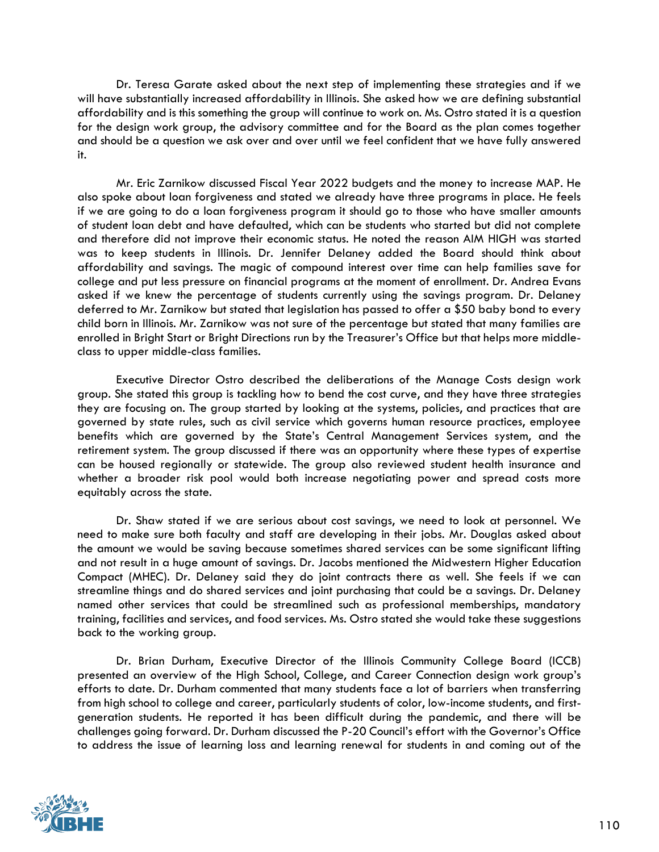Dr. Teresa Garate asked about the next step of implementing these strategies and if we will have substantially increased affordability in Illinois. She asked how we are defining substantial affordability and is this something the group will continue to work on. Ms. Ostro stated it is a question for the design work group, the advisory committee and for the Board as the plan comes together and should be a question we ask over and over until we feel confident that we have fully answered it.

Mr. Eric Zarnikow discussed Fiscal Year 2022 budgets and the money to increase MAP. He also spoke about loan forgiveness and stated we already have three programs in place. He feels if we are going to do a loan forgiveness program it should go to those who have smaller amounts of student loan debt and have defaulted, which can be students who started but did not complete and therefore did not improve their economic status. He noted the reason AIM HIGH was started was to keep students in Illinois. Dr. Jennifer Delaney added the Board should think about affordability and savings. The magic of compound interest over time can help families save for college and put less pressure on financial programs at the moment of enrollment. Dr. Andrea Evans asked if we knew the percentage of students currently using the savings program. Dr. Delaney deferred to Mr. Zarnikow but stated that legislation has passed to offer a \$50 baby bond to every child born in Illinois. Mr. Zarnikow was not sure of the percentage but stated that many families are enrolled in Bright Start or Bright Directions run by the Treasurer's Office but that helps more middleclass to upper middle-class families.

Executive Director Ostro described the deliberations of the Manage Costs design work group. She stated this group is tackling how to bend the cost curve, and they have three strategies they are focusing on. The group started by looking at the systems, policies, and practices that are governed by state rules, such as civil service which governs human resource practices, employee benefits which are governed by the State's Central Management Services system, and the retirement system. The group discussed if there was an opportunity where these types of expertise can be housed regionally or statewide. The group also reviewed student health insurance and whether a broader risk pool would both increase negotiating power and spread costs more equitably across the state.

Dr. Shaw stated if we are serious about cost savings, we need to look at personnel. We need to make sure both faculty and staff are developing in their jobs. Mr. Douglas asked about the amount we would be saving because sometimes shared services can be some significant lifting and not result in a huge amount of savings. Dr. Jacobs mentioned the Midwestern Higher Education Compact (MHEC). Dr. Delaney said they do joint contracts there as well. She feels if we can streamline things and do shared services and joint purchasing that could be a savings. Dr. Delaney named other services that could be streamlined such as professional memberships, mandatory training, facilities and services, and food services. Ms. Ostro stated she would take these suggestions back to the working group.

Dr. Brian Durham, Executive Director of the Illinois Community College Board (ICCB) presented an overview of the High School, College, and Career Connection design work group's efforts to date. Dr. Durham commented that many students face a lot of barriers when transferring from high school to college and career, particularly students of color, low-income students, and firstgeneration students. He reported it has been difficult during the pandemic, and there will be challenges going forward. Dr. Durham discussed the P-20 Council's effort with the Governor's Office to address the issue of learning loss and learning renewal for students in and coming out of the

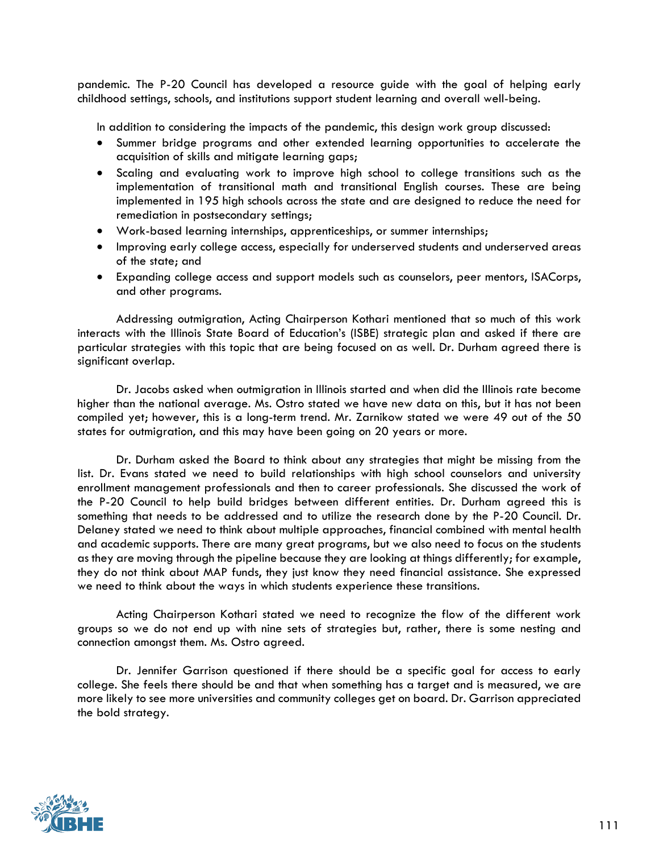pandemic. The P-20 Council has developed a resource guide with the goal of helping early childhood settings, schools, and institutions support student learning and overall well-being.

In addition to considering the impacts of the pandemic, this design work group discussed:

- Summer bridge programs and other extended learning opportunities to accelerate the acquisition of skills and mitigate learning gaps;
- Scaling and evaluating work to improve high school to college transitions such as the implementation of transitional math and transitional English courses. These are being implemented in 195 high schools across the state and are designed to reduce the need for remediation in postsecondary settings;
- Work-based learning internships, apprenticeships, or summer internships;
- Improving early college access, especially for underserved students and underserved areas of the state; and
- Expanding college access and support models such as counselors, peer mentors, ISACorps, and other programs.

Addressing outmigration, Acting Chairperson Kothari mentioned that so much of this work interacts with the Illinois State Board of Education's (ISBE) strategic plan and asked if there are particular strategies with this topic that are being focused on as well. Dr. Durham agreed there is significant overlap.

Dr. Jacobs asked when outmigration in Illinois started and when did the Illinois rate become higher than the national average. Ms. Ostro stated we have new data on this, but it has not been compiled yet; however, this is a long-term trend. Mr. Zarnikow stated we were 49 out of the 50 states for outmigration, and this may have been going on 20 years or more.

Dr. Durham asked the Board to think about any strategies that might be missing from the list. Dr. Evans stated we need to build relationships with high school counselors and university enrollment management professionals and then to career professionals. She discussed the work of the P-20 Council to help build bridges between different entities. Dr. Durham agreed this is something that needs to be addressed and to utilize the research done by the P-20 Council. Dr. Delaney stated we need to think about multiple approaches, financial combined with mental health and academic supports. There are many great programs, but we also need to focus on the students as they are moving through the pipeline because they are looking at things differently; for example, they do not think about MAP funds, they just know they need financial assistance. She expressed we need to think about the ways in which students experience these transitions.

Acting Chairperson Kothari stated we need to recognize the flow of the different work groups so we do not end up with nine sets of strategies but, rather, there is some nesting and connection amongst them. Ms. Ostro agreed.

Dr. Jennifer Garrison questioned if there should be a specific goal for access to early college. She feels there should be and that when something has a target and is measured, we are more likely to see more universities and community colleges get on board. Dr. Garrison appreciated the bold strategy.

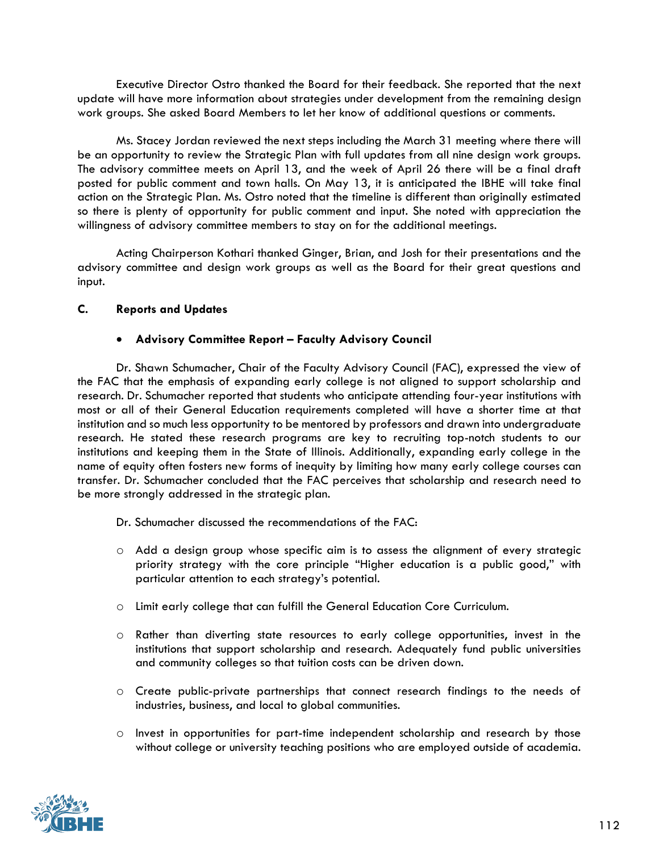Executive Director Ostro thanked the Board for their feedback. She reported that the next update will have more information about strategies under development from the remaining design work groups. She asked Board Members to let her know of additional questions or comments.

Ms. Stacey Jordan reviewed the next steps including the March 31 meeting where there will be an opportunity to review the Strategic Plan with full updates from all nine design work groups. The advisory committee meets on April 13, and the week of April 26 there will be a final draft posted for public comment and town halls. On May 13, it is anticipated the IBHE will take final action on the Strategic Plan. Ms. Ostro noted that the timeline is different than originally estimated so there is plenty of opportunity for public comment and input. She noted with appreciation the willingness of advisory committee members to stay on for the additional meetings.

Acting Chairperson Kothari thanked Ginger, Brian, and Josh for their presentations and the advisory committee and design work groups as well as the Board for their great questions and input.

## **C. Reports and Updates**

## • **Advisory Committee Report – Faculty Advisory Council**

Dr. Shawn Schumacher, Chair of the Faculty Advisory Council (FAC), expressed the view of the FAC that the emphasis of expanding early college is not aligned to support scholarship and research. Dr. Schumacher reported that students who anticipate attending four-year institutions with most or all of their General Education requirements completed will have a shorter time at that institution and so much less opportunity to be mentored by professors and drawn into undergraduate research. He stated these research programs are key to recruiting top-notch students to our institutions and keeping them in the State of Illinois. Additionally, expanding early college in the name of equity often fosters new forms of inequity by limiting how many early college courses can transfer. Dr. Schumacher concluded that the FAC perceives that scholarship and research need to be more strongly addressed in the strategic plan.

Dr. Schumacher discussed the recommendations of the FAC:

- o Add a design group whose specific aim is to assess the alignment of every strategic priority strategy with the core principle "Higher education is a public good," with particular attention to each strategy's potential.
- o Limit early college that can fulfill the General Education Core Curriculum.
- o Rather than diverting state resources to early college opportunities, invest in the institutions that support scholarship and research. Adequately fund public universities and community colleges so that tuition costs can be driven down.
- o Create public-private partnerships that connect research findings to the needs of industries, business, and local to global communities.
- o Invest in opportunities for part-time independent scholarship and research by those without college or university teaching positions who are employed outside of academia.

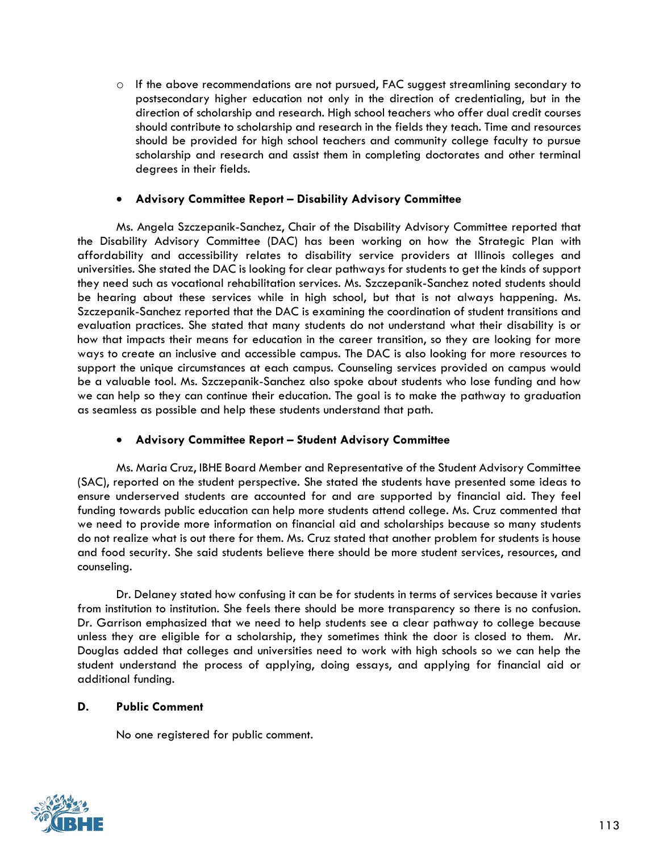$\circ$  If the above recommendations are not pursued, FAC suggest streamlining secondary to postsecondary higher education not only in the direction of credentialing, but in the direction of scholarship and research. High school teachers who offer dual credit courses should contribute to scholarship and research in the fields they teach. Time and resources should be provided for high school teachers and community college faculty to pursue scholarship and research and assist them in completing doctorates and other terminal degrees in their fields.

#### • **Advisory Committee Report – Disability Advisory Committee**

Ms. Angela Szczepanik-Sanchez, Chair of the Disability Advisory Committee reported that the Disability Advisory Committee (DAC) has been working on how the Strategic Plan with affordability and accessibility relates to disability service providers at Illinois colleges and universities. She stated the DAC is looking for clear pathways for students to get the kinds of support they need such as vocational rehabilitation services. Ms. Szczepanik-Sanchez noted students should be hearing about these services while in high school, but that is not always happening. Ms. Szczepanik-Sanchez reported that the DAC is examining the coordination of student transitions and evaluation practices. She stated that many students do not understand what their disability is or how that impacts their means for education in the career transition, so they are looking for more ways to create an inclusive and accessible campus. The DAC is also looking for more resources to support the unique circumstances at each campus. Counseling services provided on campus would be a valuable tool. Ms. Szczepanik-Sanchez also spoke about students who lose funding and how we can help so they can continue their education. The goal is to make the pathway to graduation as seamless as possible and help these students understand that path.

## • **Advisory Committee Report – Student Advisory Committee**

Ms. Maria Cruz, IBHE Board Member and Representative of the Student Advisory Committee (SAC), reported on the student perspective. She stated the students have presented some ideas to ensure underserved students are accounted for and are supported by financial aid. They feel funding towards public education can help more students attend college. Ms. Cruz commented that we need to provide more information on financial aid and scholarships because so many students do not realize what is out there for them. Ms. Cruz stated that another problem for students is house and food security. She said students believe there should be more student services, resources, and counseling.

Dr. Delaney stated how confusing it can be for students in terms of services because it varies from institution to institution. She feels there should be more transparency so there is no confusion. Dr. Garrison emphasized that we need to help students see a clear pathway to college because unless they are eligible for a scholarship, they sometimes think the door is closed to them. Mr. Douglas added that colleges and universities need to work with high schools so we can help the student understand the process of applying, doing essays, and applying for financial aid or additional funding.

#### **D. Public Comment**

No one registered for public comment.